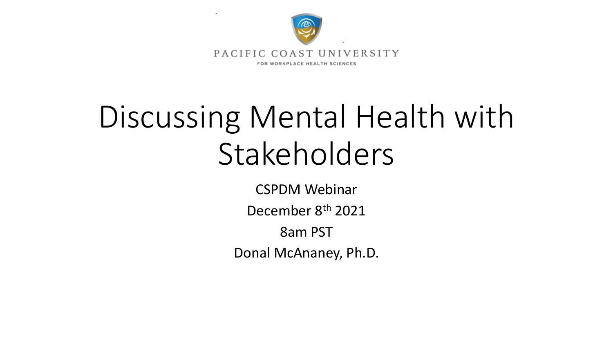

# Discussing Mental Health with Stakeholders

CSPDM Webinar December 8th 2021 8am PST Donal McAnaney, Ph.D.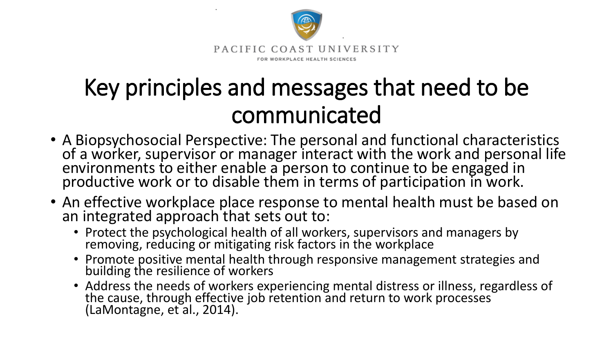

#### Key principles and messages that need to be communicated

- A Biopsychosocial Perspective: The personal and functional characteristics of a worker, supervisor or manager interact with the work and personal life environments to either enable a person to continue to be engaged in productive work or to disable them in terms of participation in work.
- An effective workplace place response to mental health must be based on an integrated approach that sets out to:
	- Protect the psychological health of all workers, supervisors and managers by removing, reducing or mitigating risk factors in the workplace
	- Promote positive mental health through responsive management strategies and building the resilience of workers
	- Address the needs of workers experiencing mental distress or illness, regardless of the cause, through effective job retention and return to work processes (LaMontagne, et al., 2014).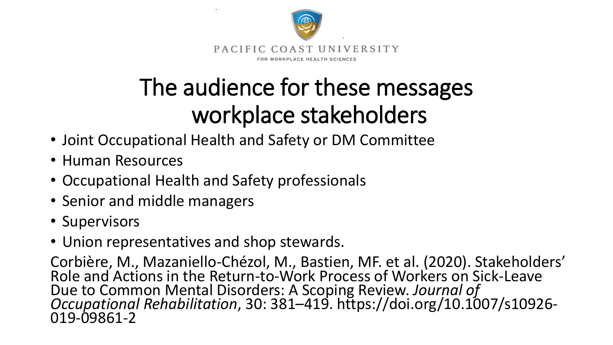

#### The audience for these messages workplace stakeholders

- Joint Occupational Health and Safety or DM Committee
- Human Resources
- Occupational Health and Safety professionals
- Senior and middle managers
- Supervisors
- Union representatives and shop stewards.

Corbière, M., Mazaniello-Chézol, M., Bastien, MF. et al. (2020). Stakeholders' Role and Actions in the Return-to-Work Process of Workers on Sick-Leave Due to Common Mental Disorders: A Scoping Review. *Journal of Occupational Rehabilitation*, 30: 381–419. https://doi.org/10.1007/s10926- 019-09861-2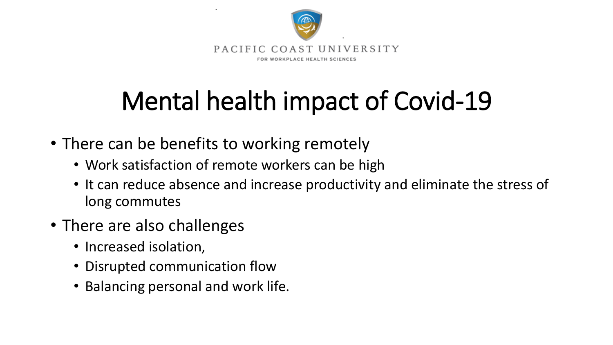

### Mental health impact of Covid-19

- There can be benefits to working remotely
	- Work satisfaction of remote workers can be high
	- It can reduce absence and increase productivity and eliminate the stress of long commutes
- There are also challenges
	- Increased isolation,
	- Disrupted communication flow
	- Balancing personal and work life.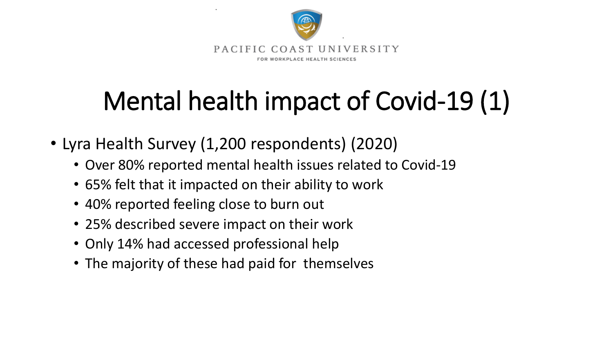

## Mental health impact of Covid-19 (1)

- Lyra Health Survey (1,200 respondents) (2020)
	- Over 80% reported mental health issues related to Covid-19
	- 65% felt that it impacted on their ability to work
	- 40% reported feeling close to burn out
	- 25% described severe impact on their work
	- Only 14% had accessed professional help
	- The majority of these had paid for themselves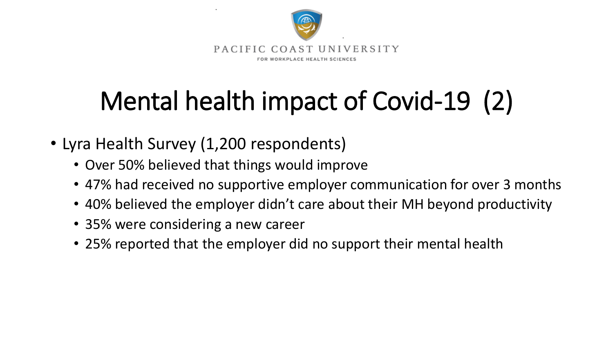

## Mental health impact of Covid-19 (2)

- Lyra Health Survey (1,200 respondents)
	- Over 50% believed that things would improve
	- 47% had received no supportive employer communication for over 3 months
	- 40% believed the employer didn't care about their MH beyond productivity
	- 35% were considering a new career
	- 25% reported that the employer did no support their mental health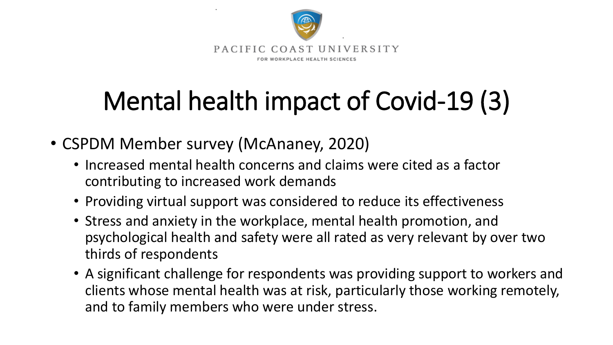

## Mental health impact of Covid-19 (3)

- CSPDM Member survey (McAnaney, 2020)
	- Increased mental health concerns and claims were cited as a factor contributing to increased work demands
	- Providing virtual support was considered to reduce its effectiveness
	- Stress and anxiety in the workplace, mental health promotion, and psychological health and safety were all rated as very relevant by over two thirds of respondents
	- A significant challenge for respondents was providing support to workers and clients whose mental health was at risk, particularly those working remotely, and to family members who were under stress.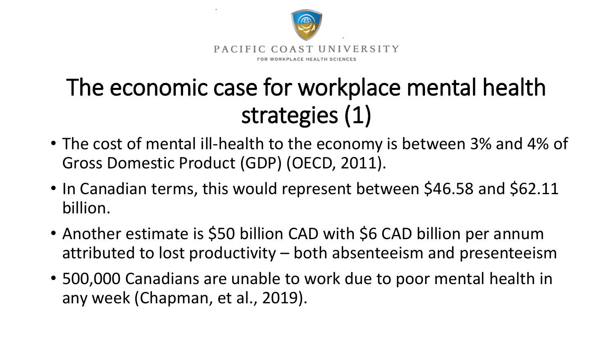

#### The economic case for workplace mental health strategies (1)

- The cost of mental ill-health to the economy is between 3% and 4% of Gross Domestic Product (GDP) (OECD, 2011).
- In Canadian terms, this would represent between \$46.58 and \$62.11 billion.
- Another estimate is \$50 billion CAD with \$6 CAD billion per annum attributed to lost productivity – both absenteeism and presenteeism
- 500,000 Canadians are unable to work due to poor mental health in any week (Chapman, et al., 2019).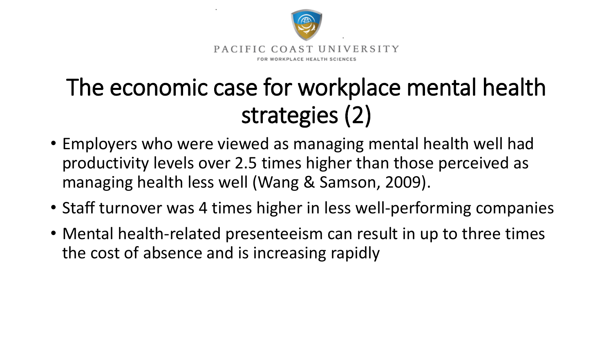

#### The economic case for workplace mental health strategies (2)

- Employers who were viewed as managing mental health well had productivity levels over 2.5 times higher than those perceived as managing health less well (Wang & Samson, 2009).
- Staff turnover was 4 times higher in less well-performing companies
- Mental health-related presenteeism can result in up to three times the cost of absence and is increasing rapidly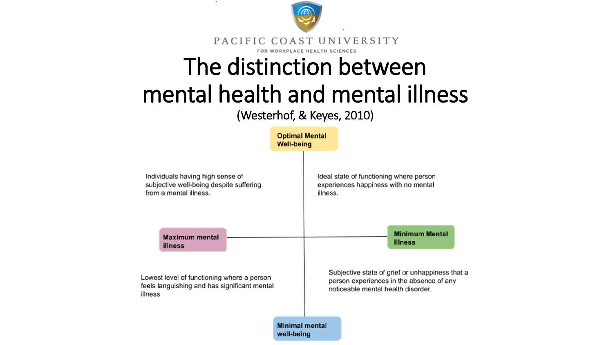

#### The distinction between mental health and mental illness

(Westerhof, & Keyes, 2010)

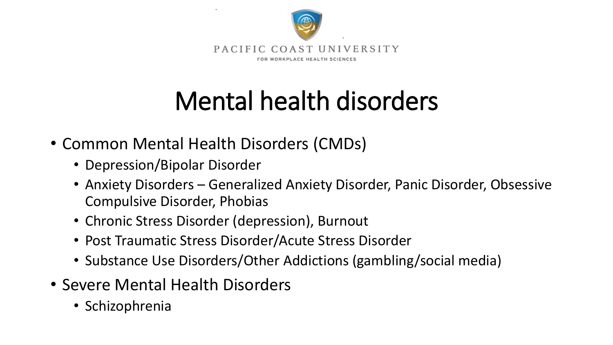

## Mental health disorders

- Common Mental Health Disorders (CMDs)
	- Depression/Bipolar Disorder
	- Anxiety Disorders Generalized Anxiety Disorder, Panic Disorder, Obsessive Compulsive Disorder, Phobias
	- Chronic Stress Disorder (depression), Burnout
	- Post Traumatic Stress Disorder/Acute Stress Disorder
	- Substance Use Disorders/Other Addictions (gambling/social media)
- Severe Mental Health Disorders
	- Schizophrenia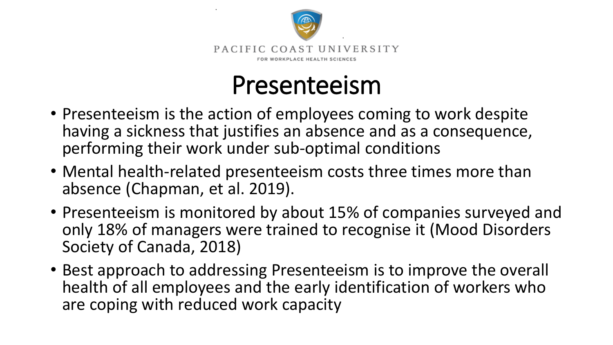

#### Presenteeism

- Presenteeism is the action of employees coming to work despite having a sickness that justifies an absence and as a consequence, performing their work under sub-optimal conditions
- Mental health-related presenteeism costs three times more than absence (Chapman, et al. 2019).
- Presenteeism is monitored by about 15% of companies surveyed and only 18% of managers were trained to recognise it (Mood Disorders Society of Canada, 2018)
- Best approach to addressing Presenteeism is to improve the overall health of all employees and the early identification of workers who are coping with reduced work capacity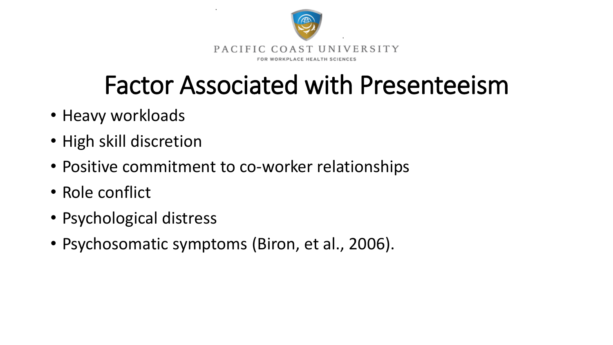

#### Factor Associated with Presenteeism

- Heavy workloads
- High skill discretion
- Positive commitment to co-worker relationships
- Role conflict
- Psychological distress
- Psychosomatic symptoms (Biron, et al., 2006).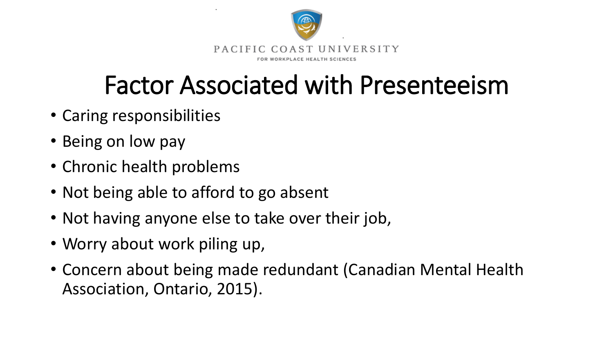

#### Factor Associated with Presenteeism

- Caring responsibilities
- Being on low pay
- Chronic health problems
- Not being able to afford to go absent
- Not having anyone else to take over their job,
- Worry about work piling up,
- Concern about being made redundant (Canadian Mental Health Association, Ontario, 2015).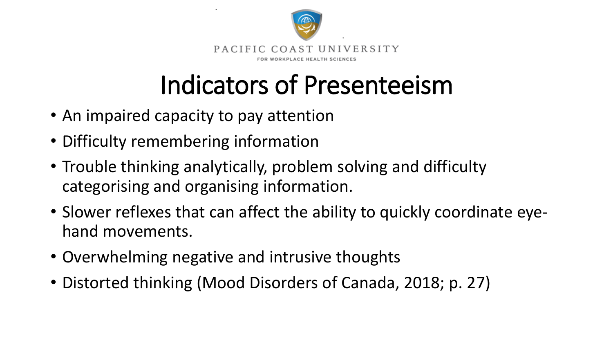

#### Indicators of Presenteeism

- An impaired capacity to pay attention
- Difficulty remembering information
- Trouble thinking analytically, problem solving and difficulty categorising and organising information.
- Slower reflexes that can affect the ability to quickly coordinate eyehand movements.
- Overwhelming negative and intrusive thoughts
- Distorted thinking (Mood Disorders of Canada, 2018; p. 27)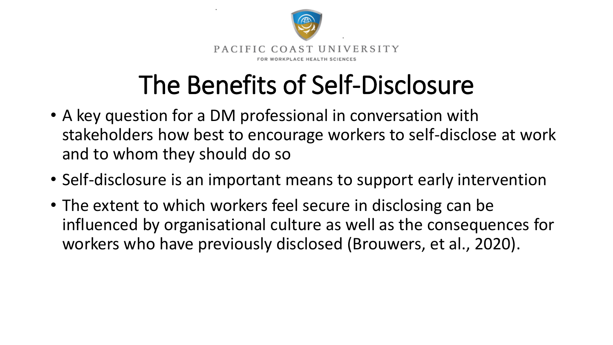

#### The Benefits of Self-Disclosure

- A key question for a DM professional in conversation with stakeholders how best to encourage workers to self-disclose at work and to whom they should do so
- Self-disclosure is an important means to support early intervention
- The extent to which workers feel secure in disclosing can be influenced by organisational culture as well as the consequences for workers who have previously disclosed (Brouwers, et al., 2020).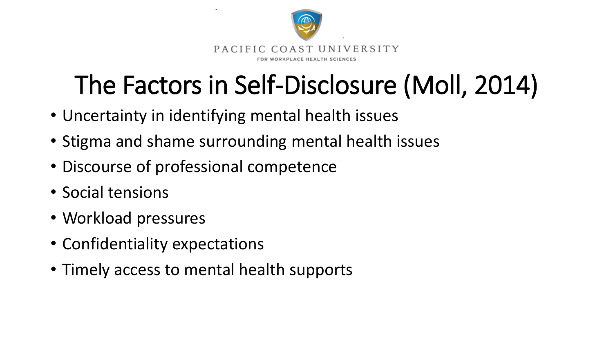

## The Factors in Self-Disclosure (Moll, 2014)

- Uncertainty in identifying mental health issues
- Stigma and shame surrounding mental health issues
- Discourse of professional competence
- Social tensions
- Workload pressures
- Confidentiality expectations
- Timely access to mental health supports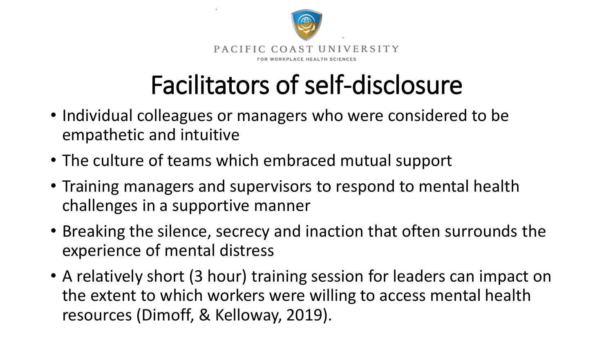

#### Facilitators of self-disclosure

- Individual colleagues or managers who were considered to be empathetic and intuitive
- The culture of teams which embraced mutual support
- Training managers and supervisors to respond to mental health challenges in a supportive manner
- Breaking the silence, secrecy and inaction that often surrounds the experience of mental distress
- A relatively short (3 hour) training session for leaders can impact on the extent to which workers were willing to access mental health resources (Dimoff, & Kelloway, 2019).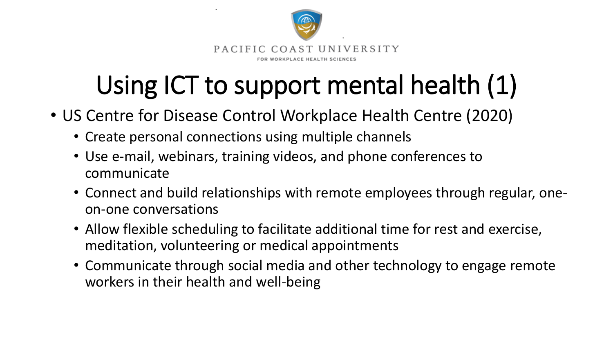

## Using ICT to support mental health (1)

- US Centre for Disease Control Workplace Health Centre (2020)
	- Create personal connections using multiple channels
	- Use e-mail, webinars, training videos, and phone conferences to communicate
	- Connect and build relationships with remote employees through regular, oneon-one conversations
	- Allow flexible scheduling to facilitate additional time for rest and exercise, meditation, volunteering or medical appointments
	- Communicate through social media and other technology to engage remote workers in their health and well-being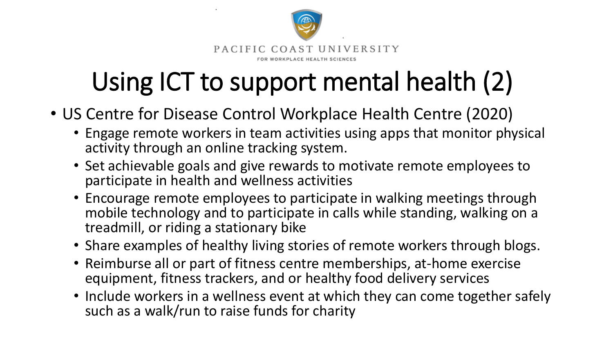

## Using ICT to support mental health (2)

- US Centre for Disease Control Workplace Health Centre (2020)
	- Engage remote workers in team activities using apps that monitor physical activity through an online tracking system.
	- Set achievable goals and give rewards to motivate remote employees to participate in health and wellness activities
	- Encourage remote employees to participate in walking meetings through mobile technology and to participate in calls while standing, walking on a treadmill, or riding a stationary bike
	- Share examples of healthy living stories of remote workers through blogs.
	- Reimburse all or part of fitness centre memberships, at-home exercise equipment, fitness trackers, and or healthy food delivery services
	- Include workers in a wellness event at which they can come together safely such as a walk/run to raise funds for charity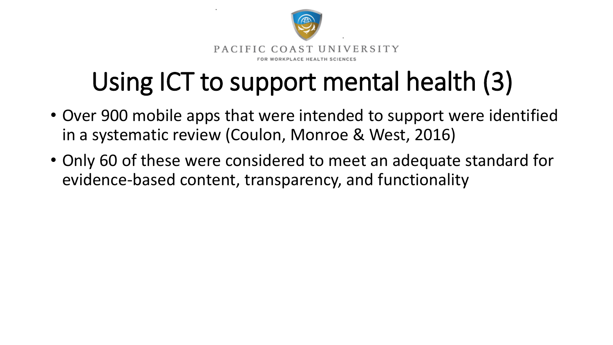

### Using ICT to support mental health (3)

- Over 900 mobile apps that were intended to support were identified in a systematic review (Coulon, Monroe & West, 2016)
- Only 60 of these were considered to meet an adequate standard for evidence-based content, transparency, and functionality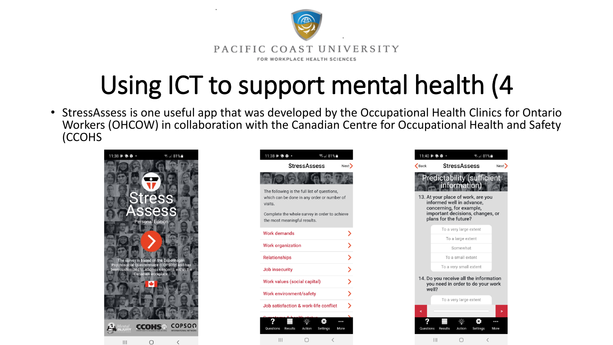

#### Using ICT to support mental health (4

• StressAssess is one useful app that was developed by the Occupational Health Clinics for Ontario Workers (OHCOW) in collaboration with the Canadian Centre for Occupational Health and Safety (CCOHS



| $11:38 \triangleright \bullet \bullet$                                                                 |        | ริ. เ⊟ 81%∎           |   |
|--------------------------------------------------------------------------------------------------------|--------|-----------------------|---|
| <b>StressAssess</b>                                                                                    |        | Next                  |   |
|                                                                                                        |        |                       |   |
| The following is the full list of questions,<br>which can be done in any order or number of<br>visits. |        |                       |   |
| Complete the whole survey in order to achieve<br>the most meaningful results.                          |        |                       |   |
| <b>Work demands</b>                                                                                    |        |                       |   |
| <b>Work organization</b>                                                                               |        |                       |   |
| <b>Relationships</b>                                                                                   |        |                       |   |
| <b>Job insecurity</b>                                                                                  |        |                       | > |
| Work values (social capital)                                                                           |        |                       |   |
| <b>Work environment/safety</b>                                                                         |        |                       |   |
| Job satisfaction & work-life conflict                                                                  |        |                       |   |
|                                                                                                        |        |                       |   |
| Questions<br>Results                                                                                   | Action | Ю<br>Settings<br>More |   |
| Ш                                                                                                      |        |                       |   |

| <b>StressAssess</b><br>Next ><br><b>E</b> Back                                                                                                           |  |  |  |
|----------------------------------------------------------------------------------------------------------------------------------------------------------|--|--|--|
| Predictability (sufficient<br>information                                                                                                                |  |  |  |
| 13. At your place of work, are you<br>informed well in advance.<br>concerning, for example,<br>important decisions, changes, or<br>plans for the future? |  |  |  |
| To a very large extent                                                                                                                                   |  |  |  |
| To a large extent                                                                                                                                        |  |  |  |
| Somewhat                                                                                                                                                 |  |  |  |
| To a small extent                                                                                                                                        |  |  |  |
| To a very small extent                                                                                                                                   |  |  |  |
| 14. Do you receive all the information<br>you need in order to do your work<br>well?<br>To a very large extent                                           |  |  |  |
| ć                                                                                                                                                        |  |  |  |
| Questions<br><b>Results</b><br>Settings<br>Action<br>More                                                                                                |  |  |  |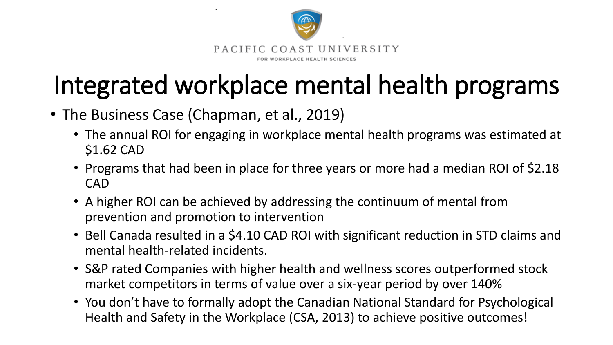

#### Integrated workplace mental health programs

- The Business Case (Chapman, et al., 2019)
	- The annual ROI for engaging in workplace mental health programs was estimated at \$1.62 CAD
	- Programs that had been in place for three years or more had a median ROI of \$2.18 CAD
	- A higher ROI can be achieved by addressing the continuum of mental from prevention and promotion to intervention
	- Bell Canada resulted in a \$4.10 CAD ROI with significant reduction in STD claims and mental health-related incidents.
	- S&P rated Companies with higher health and wellness scores outperformed stock market competitors in terms of value over a six-year period by over 140%
	- You don't have to formally adopt the Canadian National Standard for Psychological Health and Safety in the Workplace (CSA, 2013) to achieve positive outcomes!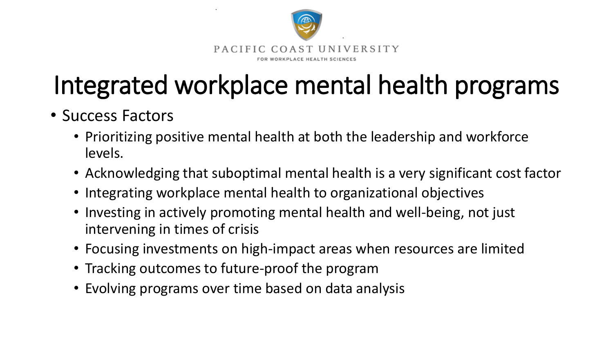

#### Integrated workplace mental health programs

- Success Factors
	- Prioritizing positive mental health at both the leadership and workforce levels.
	- Acknowledging that suboptimal mental health is a very significant cost factor
	- Integrating workplace mental health to organizational objectives
	- Investing in actively promoting mental health and well-being, not just intervening in times of crisis
	- Focusing investments on high-impact areas when resources are limited
	- Tracking outcomes to future-proof the program
	- Evolving programs over time based on data analysis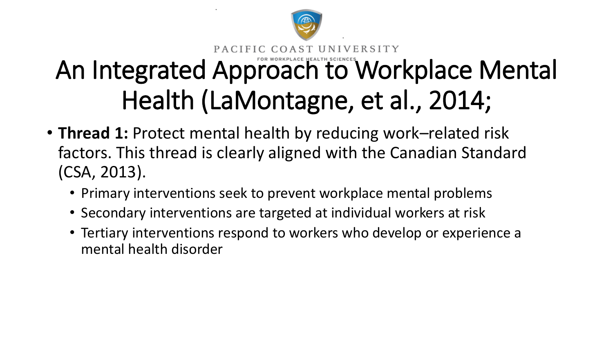

COAST UNIVERSITY

## An Integrated Approach to Workplace Mental Health (LaMontagne, et al., 2014;

• **Thread 1:** Protect mental health by reducing work–related risk factors. This thread is clearly aligned with the Canadian Standard (CSA, 2013).

PACIFIC

- Primary interventions seek to prevent workplace mental problems
- Secondary interventions are targeted at individual workers at risk
- Tertiary interventions respond to workers who develop or experience a mental health disorder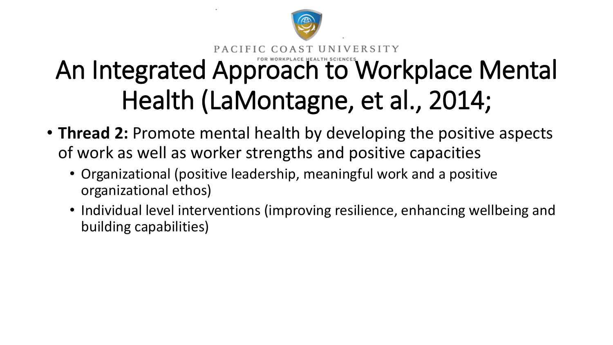

COAST UNIVERSITY

## An Integrated Approach to Workplace Mental Health (LaMontagne, et al., 2014;

- **Thread 2:** Promote mental health by developing the positive aspects of work as well as worker strengths and positive capacities
	- Organizational (positive leadership, meaningful work and a positive organizational ethos)

PACIFIC

• Individual level interventions (improving resilience, enhancing wellbeing and building capabilities)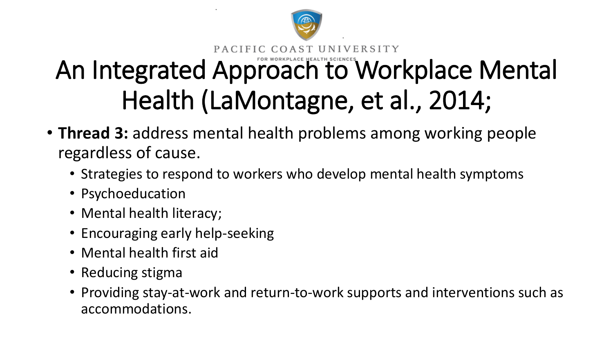

PACIFI

## An Integrated Approach to Workplace Mental Health (LaMontagne, et al., 2014;

- **Thread 3:** address mental health problems among working people regardless of cause.
	- Strategies to respond to workers who develop mental health symptoms
	- Psychoeducation
	- Mental health literacy;
	- Encouraging early help-seeking
	- Mental health first aid
	- Reducing stigma
	- Providing stay-at-work and return-to-work supports and interventions such as accommodations.